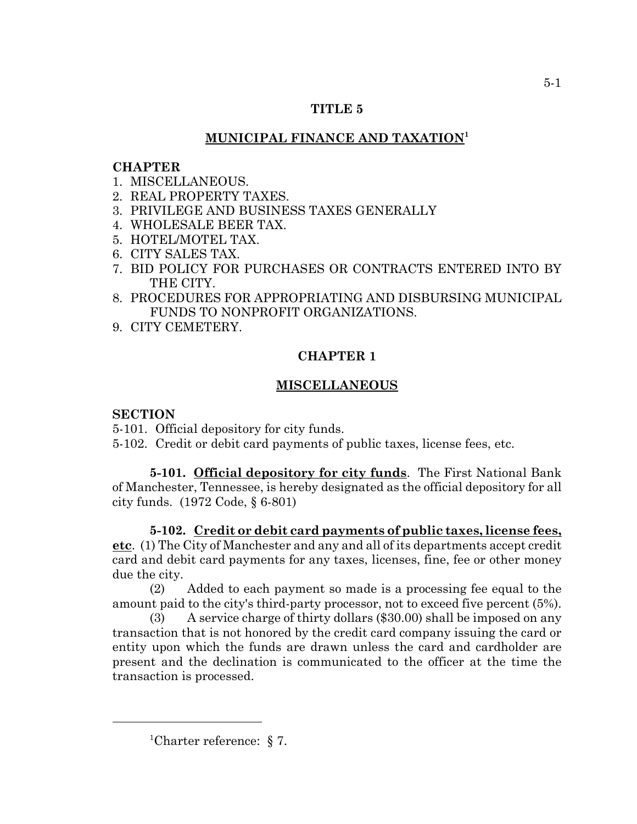## **TITLE 5**

# **MUNICIPAL FINANCE AND TAXATION1**

## **CHAPTER**

- 1. MISCELLANEOUS.
- 2. REAL PROPERTY TAXES.
- 3. PRIVILEGE AND BUSINESS TAXES GENERALLY
- 4. WHOLESALE BEER TAX.
- 5. HOTEL/MOTEL TAX.
- 6. CITY SALES TAX.
- 7. BID POLICY FOR PURCHASES OR CONTRACTS ENTERED INTO BY THE CITY.
- 8. PROCEDURES FOR APPROPRIATING AND DISBURSING MUNICIPAL FUNDS TO NONPROFIT ORGANIZATIONS.
- 9. CITY CEMETERY.

## **CHAPTER 1**

# **MISCELLANEOUS**

## **SECTION**

- 5-101. Official depository for city funds.
- 5-102. Credit or debit card payments of public taxes, license fees, etc.

**5-101. Official depository for city funds**. The First National Bank of Manchester, Tennessee, is hereby designated as the official depository for all city funds. (1972 Code, § 6-801)

**5-102. Credit or debit card payments of public taxes, license fees, etc**. (1) The City of Manchester and any and all of its departments accept credit card and debit card payments for any taxes, licenses, fine, fee or other money due the city.

(2) Added to each payment so made is a processing fee equal to the amount paid to the city's third-party processor, not to exceed five percent (5%).

(3) A service charge of thirty dollars (\$30.00) shall be imposed on any transaction that is not honored by the credit card company issuing the card or entity upon which the funds are drawn unless the card and cardholder are present and the declination is communicated to the officer at the time the transaction is processed.

<sup>&</sup>lt;sup>1</sup>Charter reference:  $\S 7$ .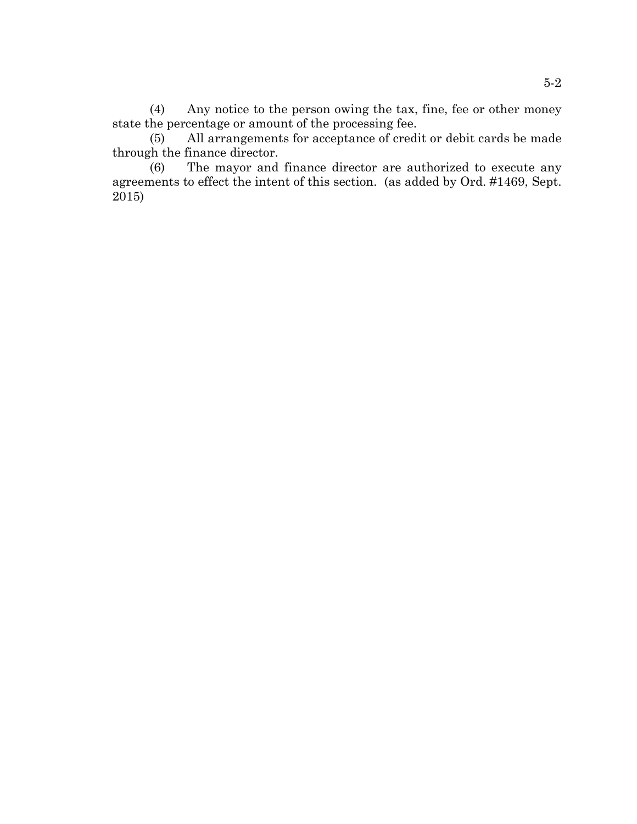(4) Any notice to the person owing the tax, fine, fee or other money state the percentage or amount of the processing fee.

(5) All arrangements for acceptance of credit or debit cards be made through the finance director.

(6) The mayor and finance director are authorized to execute any agreements to effect the intent of this section. (as added by Ord. #1469, Sept. 2015)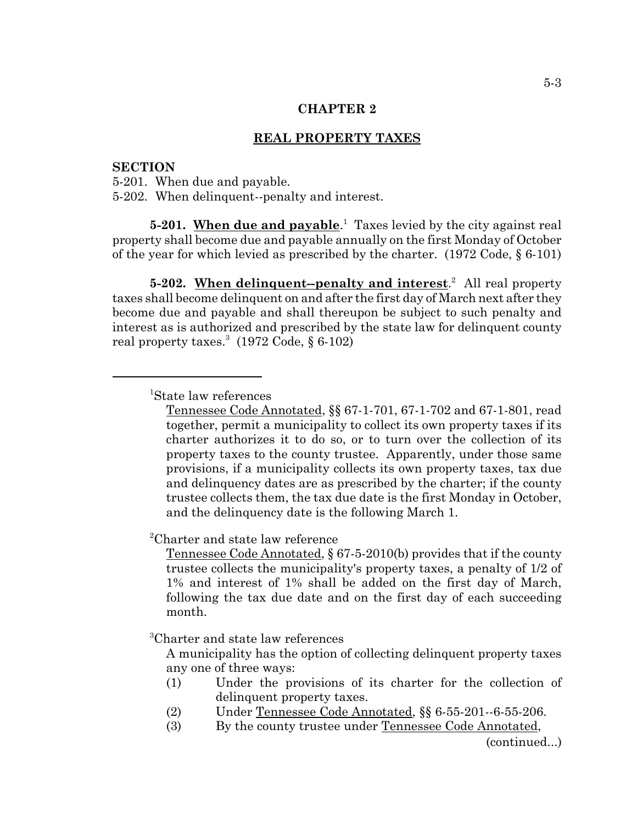## **REAL PROPERTY TAXES**

#### **SECTION**

5-201. When due and payable. 5-202. When delinquent--penalty and interest.

**5-201.** When due and payable.<sup>1</sup> Taxes levied by the city against real property shall become due and payable annually on the first Monday of October of the year for which levied as prescribed by the charter. (1972 Code, § 6-101)

**5-202.** When delinquent-penalty and interest.<sup>2</sup> All real property taxes shall become delinquent on and after the first day of March next after they become due and payable and shall thereupon be subject to such penalty and interest as is authorized and prescribed by the state law for delinquent county real property taxes.<sup>3</sup> (1972 Code, § 6-102)

1 State law references

Tennessee Code Annotated, §§ 67-1-701, 67-1-702 and 67-1-801, read together, permit a municipality to collect its own property taxes if its charter authorizes it to do so, or to turn over the collection of its property taxes to the county trustee. Apparently, under those same provisions, if a municipality collects its own property taxes, tax due and delinquency dates are as prescribed by the charter; if the county trustee collects them, the tax due date is the first Monday in October, and the delinquency date is the following March 1.

2 Charter and state law reference

Tennessee Code Annotated, § 67-5-2010(b) provides that if the county trustee collects the municipality's property taxes, a penalty of 1/2 of 1% and interest of 1% shall be added on the first day of March, following the tax due date and on the first day of each succeeding month.

3 Charter and state law references

A municipality has the option of collecting delinquent property taxes any one of three ways:

- (1) Under the provisions of its charter for the collection of delinquent property taxes.
- (2) Under Tennessee Code Annotated, §§ 6-55-201--6-55-206.
- (3) By the county trustee under Tennessee Code Annotated,

(continued...)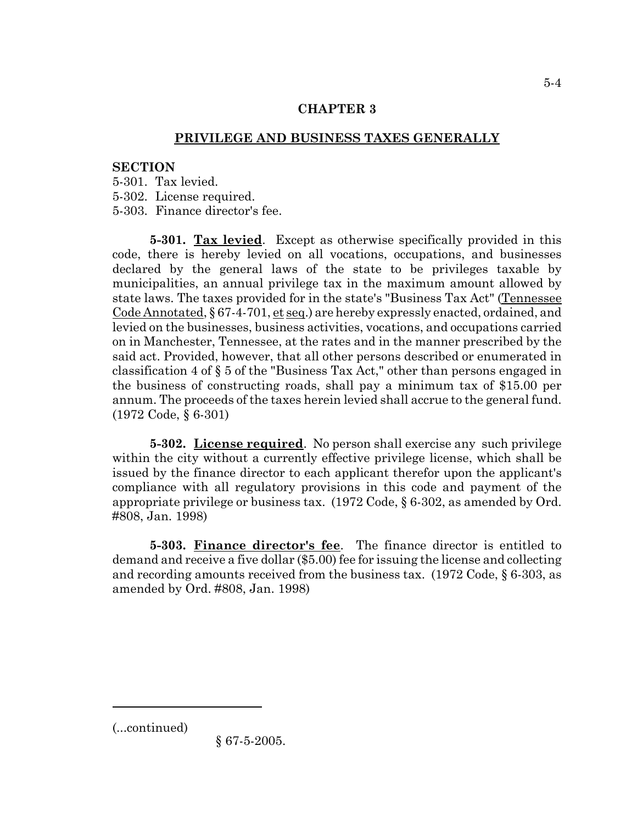# **PRIVILEGE AND BUSINESS TAXES GENERALLY**

## **SECTION**

5-301. Tax levied.

5-302. License required.

5-303. Finance director's fee.

**5-301. Tax levied**. Except as otherwise specifically provided in this code, there is hereby levied on all vocations, occupations, and businesses declared by the general laws of the state to be privileges taxable by municipalities, an annual privilege tax in the maximum amount allowed by state laws. The taxes provided for in the state's "Business Tax Act" (Tennessee Code Annotated,  $\S 67-4-701$ , et seq.) are hereby expressly enacted, ordained, and levied on the businesses, business activities, vocations, and occupations carried on in Manchester, Tennessee, at the rates and in the manner prescribed by the said act. Provided, however, that all other persons described or enumerated in classification 4 of § 5 of the "Business Tax Act," other than persons engaged in the business of constructing roads, shall pay a minimum tax of \$15.00 per annum. The proceeds of the taxes herein levied shall accrue to the general fund. (1972 Code, § 6-301)

**5-302. License required**. No person shall exercise any such privilege within the city without a currently effective privilege license, which shall be issued by the finance director to each applicant therefor upon the applicant's compliance with all regulatory provisions in this code and payment of the appropriate privilege or business tax. (1972 Code, § 6-302, as amended by Ord. #808, Jan. 1998)

**5-303. Finance director's fee**. The finance director is entitled to demand and receive a five dollar (\$5.00) fee for issuing the license and collecting and recording amounts received from the business tax. (1972 Code, § 6-303, as amended by Ord. #808, Jan. 1998)

(...continued)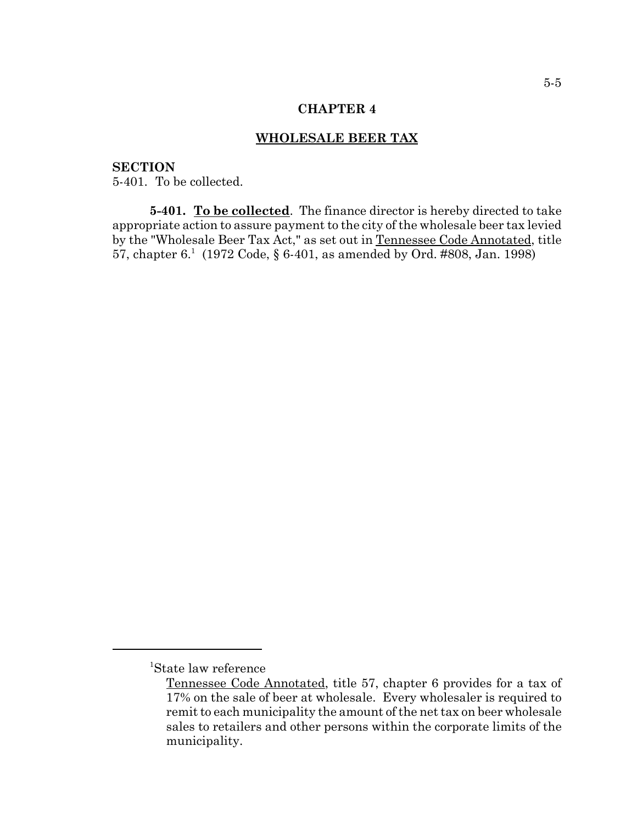### **WHOLESALE BEER TAX**

### **SECTION**

5-401. To be collected.

**5-401. To be collected**. The finance director is hereby directed to take appropriate action to assure payment to the city of the wholesale beer tax levied by the "Wholesale Beer Tax Act," as set out in Tennessee Code Annotated, title 57, chapter  $6.1 \text{ (1972 Code, § } 6 \text{-} 401$ , as amended by Ord. #808, Jan. 1998)

<sup>1</sup> State law reference

Tennessee Code Annotated, title 57, chapter 6 provides for a tax of 17% on the sale of beer at wholesale. Every wholesaler is required to remit to each municipality the amount of the net tax on beer wholesale sales to retailers and other persons within the corporate limits of the municipality.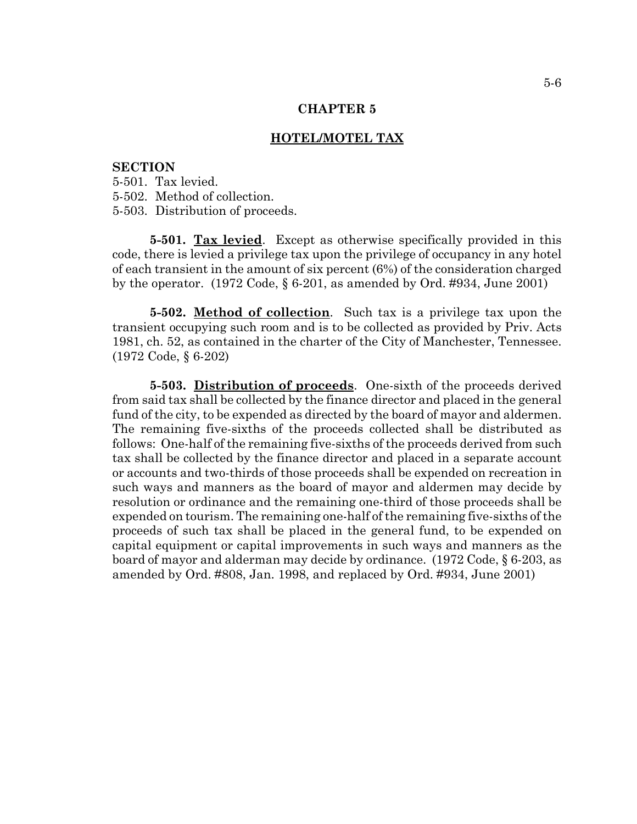#### **HOTEL/MOTEL TAX**

#### **SECTION**

5-501. Tax levied. 5-502. Method of collection. 5-503. Distribution of proceeds.

**5-501. Tax levied**. Except as otherwise specifically provided in this code, there is levied a privilege tax upon the privilege of occupancy in any hotel of each transient in the amount of six percent (6%) of the consideration charged by the operator. (1972 Code, § 6-201, as amended by Ord. #934, June 2001)

**5-502. Method of collection**. Such tax is a privilege tax upon the transient occupying such room and is to be collected as provided by Priv. Acts 1981, ch. 52, as contained in the charter of the City of Manchester, Tennessee. (1972 Code, § 6-202)

**5-503. Distribution of proceeds**. One-sixth of the proceeds derived from said tax shall be collected by the finance director and placed in the general fund of the city, to be expended as directed by the board of mayor and aldermen. The remaining five-sixths of the proceeds collected shall be distributed as follows: One-half of the remaining five-sixths of the proceeds derived from such tax shall be collected by the finance director and placed in a separate account or accounts and two-thirds of those proceeds shall be expended on recreation in such ways and manners as the board of mayor and aldermen may decide by resolution or ordinance and the remaining one-third of those proceeds shall be expended on tourism. The remaining one-half of the remaining five-sixths of the proceeds of such tax shall be placed in the general fund, to be expended on capital equipment or capital improvements in such ways and manners as the board of mayor and alderman may decide by ordinance. (1972 Code, § 6-203, as amended by Ord. #808, Jan. 1998, and replaced by Ord. #934, June 2001)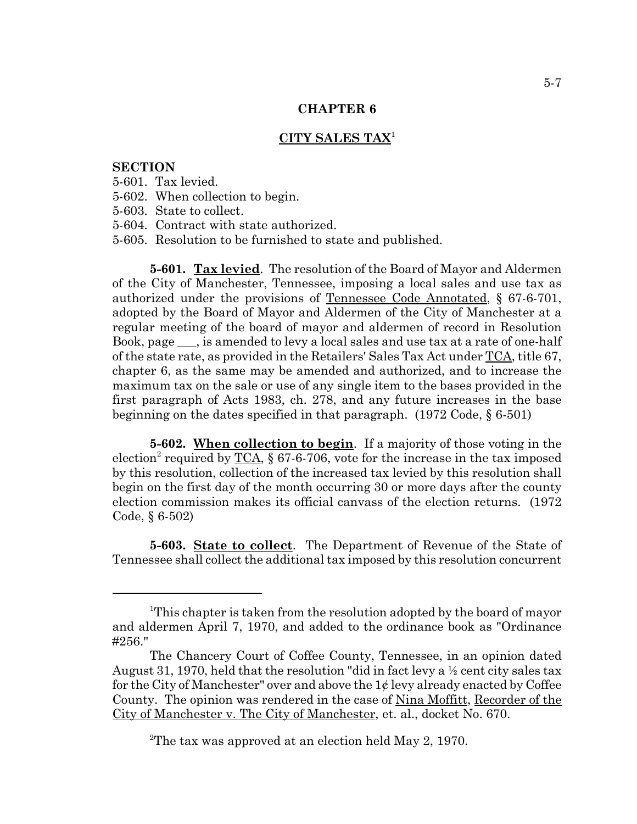## **CITY SALES TAX**<sup>1</sup>

### **SECTION**

- 5-601. Tax levied.
- 5-602. When collection to begin.
- 5-603. State to collect.
- 5-604. Contract with state authorized.
- 5-605. Resolution to be furnished to state and published.

**5-601. Tax levied**. The resolution of the Board of Mayor and Aldermen of the City of Manchester, Tennessee, imposing a local sales and use tax as authorized under the provisions of Tennessee Code Annotated, § 67-6-701, adopted by the Board of Mayor and Aldermen of the City of Manchester at a regular meeting of the board of mayor and aldermen of record in Resolution Book, page \_\_\_, is amended to levy a local sales and use tax at a rate of one-half of the state rate, as provided in the Retailers' Sales Tax Act under TCA, title 67, chapter 6, as the same may be amended and authorized, and to increase the maximum tax on the sale or use of any single item to the bases provided in the first paragraph of Acts 1983, ch. 278, and any future increases in the base beginning on the dates specified in that paragraph. (1972 Code, § 6-501)

**5-602. When collection to begin**. If a majority of those voting in the election<sup>2</sup> required by <u>TCA,</u> § 67-6-706, vote for the increase in the tax imposed by this resolution, collection of the increased tax levied by this resolution shall begin on the first day of the month occurring 30 or more days after the county election commission makes its official canvass of the election returns. (1972 Code, § 6-502)

**5-603. State to collect**. The Department of Revenue of the State of Tennessee shall collect the additional tax imposed by this resolution concurrent

<sup>2</sup>The tax was approved at an election held May 2, 1970.

<sup>&</sup>lt;sup>1</sup>This chapter is taken from the resolution adopted by the board of mayor and aldermen April 7, 1970, and added to the ordinance book as "Ordinance #256."

The Chancery Court of Coffee County, Tennessee, in an opinion dated August 31, 1970, held that the resolution "did in fact levy a  $\frac{1}{2}$  cent city sales tax for the City of Manchester" over and above the  $1\ell$  levy already enacted by Coffee County. The opinion was rendered in the case of Nina Moffitt, Recorder of the City of Manchester v. The City of Manchester, et. al., docket No. 670.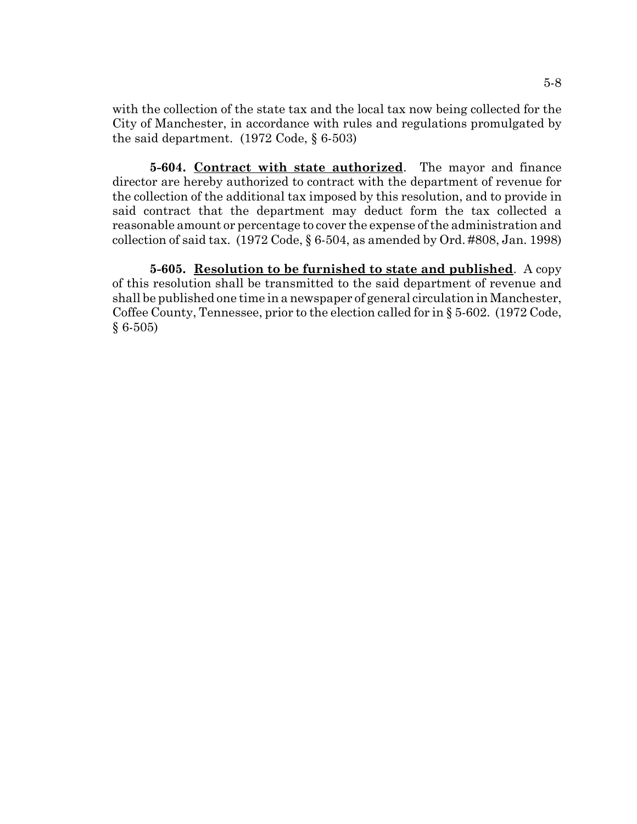with the collection of the state tax and the local tax now being collected for the City of Manchester, in accordance with rules and regulations promulgated by the said department. (1972 Code, § 6-503)

**5-604. Contract with state authorized**. The mayor and finance director are hereby authorized to contract with the department of revenue for the collection of the additional tax imposed by this resolution, and to provide in said contract that the department may deduct form the tax collected a reasonable amount or percentage to cover the expense of the administration and collection of said tax. (1972 Code, § 6-504, as amended by Ord. #808, Jan. 1998)

**5-605. Resolution to be furnished to state and published**. A copy of this resolution shall be transmitted to the said department of revenue and shall be published one time in a newspaper of general circulation in Manchester, Coffee County, Tennessee, prior to the election called for in § 5-602. (1972 Code,  $§ 6-505)$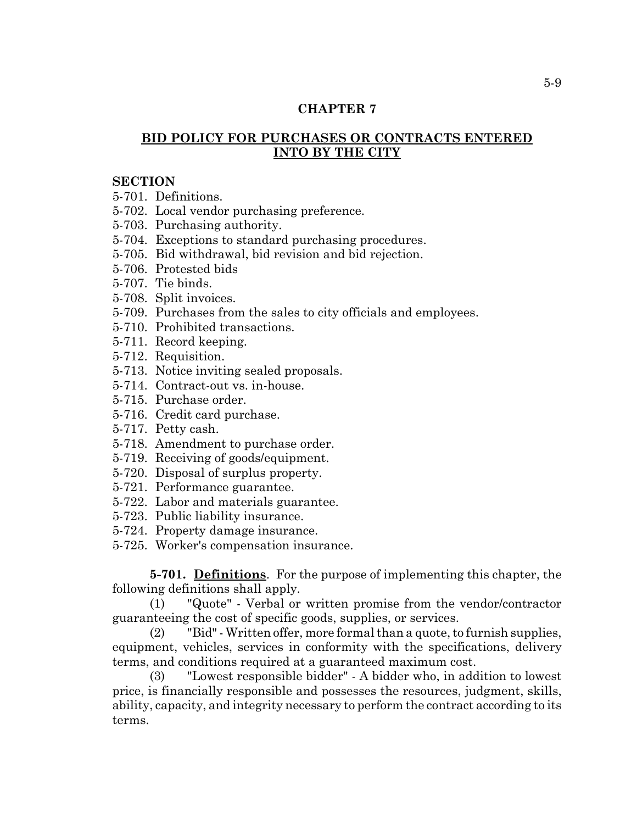# **BID POLICY FOR PURCHASES OR CONTRACTS ENTERED INTO BY THE CITY**

#### **SECTION**

5-701. Definitions.

- 5-702. Local vendor purchasing preference.
- 5-703. Purchasing authority.
- 5-704. Exceptions to standard purchasing procedures.
- 5-705. Bid withdrawal, bid revision and bid rejection.
- 5-706. Protested bids
- 5-707. Tie binds.
- 5-708. Split invoices.
- 5-709. Purchases from the sales to city officials and employees.
- 5-710. Prohibited transactions.
- 5-711. Record keeping.
- 5-712. Requisition.
- 5-713. Notice inviting sealed proposals.
- 5-714. Contract-out vs. in-house.
- 5-715. Purchase order.
- 5-716. Credit card purchase.
- 5-717. Petty cash.
- 5-718. Amendment to purchase order.
- 5-719. Receiving of goods/equipment.
- 5-720. Disposal of surplus property.
- 5-721. Performance guarantee.
- 5-722. Labor and materials guarantee.
- 5-723. Public liability insurance.
- 5-724. Property damage insurance.
- 5-725. Worker's compensation insurance.

**5-701. Definitions**. For the purpose of implementing this chapter, the following definitions shall apply.

(1) "Quote" - Verbal or written promise from the vendor/contractor guaranteeing the cost of specific goods, supplies, or services.

(2) "Bid" - Written offer, more formal than a quote, to furnish supplies, equipment, vehicles, services in conformity with the specifications, delivery terms, and conditions required at a guaranteed maximum cost.

(3) "Lowest responsible bidder" - A bidder who, in addition to lowest price, is financially responsible and possesses the resources, judgment, skills, ability, capacity, and integrity necessary to perform the contract according to its terms.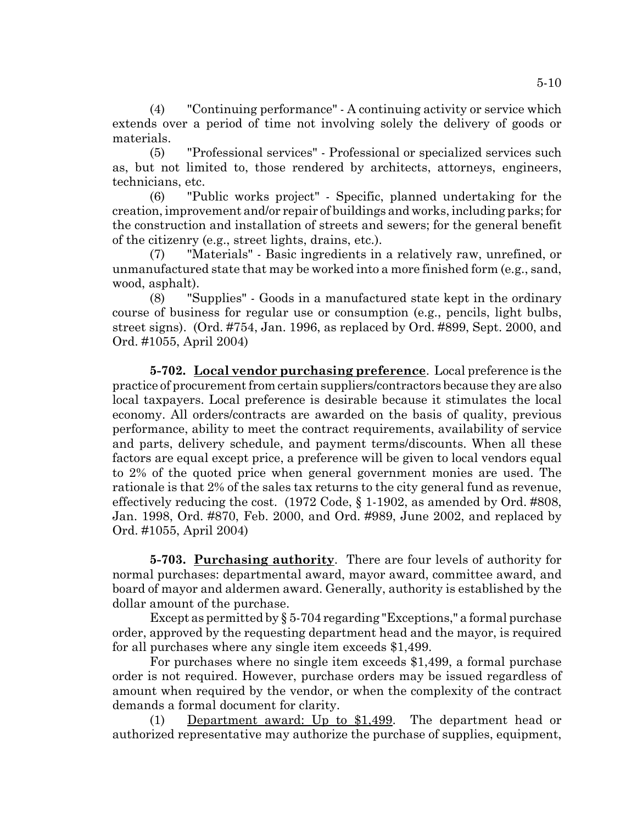(4) "Continuing performance" - A continuing activity or service which extends over a period of time not involving solely the delivery of goods or materials.

(5) "Professional services" - Professional or specialized services such as, but not limited to, those rendered by architects, attorneys, engineers, technicians, etc.

(6) "Public works project" - Specific, planned undertaking for the creation, improvement and/or repair of buildings and works, including parks; for the construction and installation of streets and sewers; for the general benefit of the citizenry (e.g., street lights, drains, etc.).

(7) "Materials" - Basic ingredients in a relatively raw, unrefined, or unmanufactured state that may be worked into a more finished form (e.g., sand, wood, asphalt).

(8) "Supplies" - Goods in a manufactured state kept in the ordinary course of business for regular use or consumption (e.g., pencils, light bulbs, street signs). (Ord. #754, Jan. 1996, as replaced by Ord. #899, Sept. 2000, and Ord. #1055, April 2004)

**5-702. Local vendor purchasing preference**. Local preference is the practice of procurement from certain suppliers/contractors because they are also local taxpayers. Local preference is desirable because it stimulates the local economy. All orders/contracts are awarded on the basis of quality, previous performance, ability to meet the contract requirements, availability of service and parts, delivery schedule, and payment terms/discounts. When all these factors are equal except price, a preference will be given to local vendors equal to 2% of the quoted price when general government monies are used. The rationale is that 2% of the sales tax returns to the city general fund as revenue, effectively reducing the cost.  $(1972 \text{ Code}, \S 1-1902)$ , as amended by Ord. #808, Jan. 1998, Ord. #870, Feb. 2000, and Ord. #989, June 2002, and replaced by Ord. #1055, April 2004)

**5-703. Purchasing authority**. There are four levels of authority for normal purchases: departmental award, mayor award, committee award, and board of mayor and aldermen award. Generally, authority is established by the dollar amount of the purchase.

Except as permitted by § 5-704 regarding "Exceptions," a formal purchase order, approved by the requesting department head and the mayor, is required for all purchases where any single item exceeds \$1,499.

For purchases where no single item exceeds \$1,499, a formal purchase order is not required. However, purchase orders may be issued regardless of amount when required by the vendor, or when the complexity of the contract demands a formal document for clarity.

(1) Department award: Up to \$1,499. The department head or authorized representative may authorize the purchase of supplies, equipment,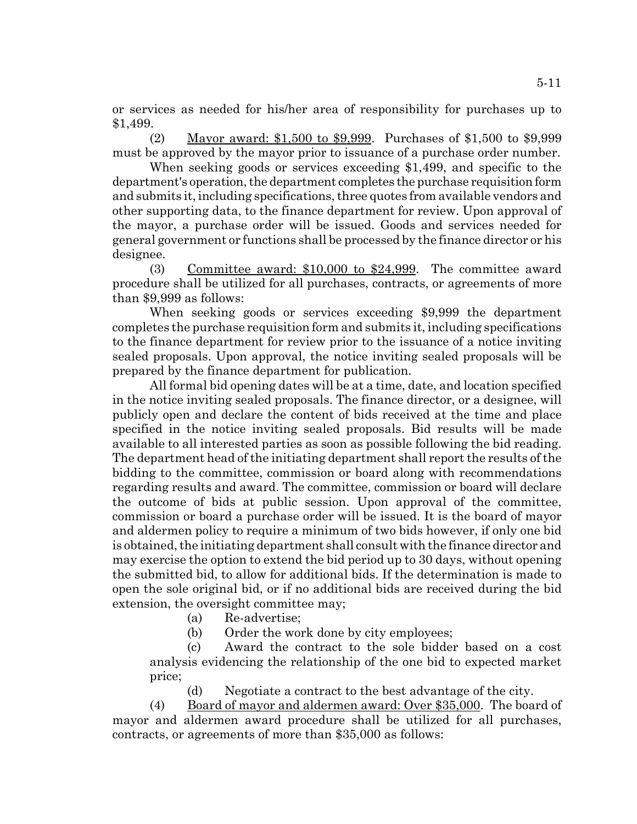or services as needed for his/her area of responsibility for purchases up to \$1,499.

(2) Mayor award: \$1,500 to \$9,999. Purchases of \$1,500 to \$9,999 must be approved by the mayor prior to issuance of a purchase order number.

When seeking goods or services exceeding \$1,499, and specific to the department's operation, the department completes the purchase requisition form and submits it, including specifications, three quotes from available vendors and other supporting data, to the finance department for review. Upon approval of the mayor, a purchase order will be issued. Goods and services needed for general government or functions shall be processed by the finance director or his designee.

(3) Committee award: \$10,000 to \$24,999. The committee award procedure shall be utilized for all purchases, contracts, or agreements of more than \$9,999 as follows:

When seeking goods or services exceeding \$9,999 the department completes the purchase requisition form and submits it, including specifications to the finance department for review prior to the issuance of a notice inviting sealed proposals. Upon approval, the notice inviting sealed proposals will be prepared by the finance department for publication.

All formal bid opening dates will be at a time, date, and location specified in the notice inviting sealed proposals. The finance director, or a designee, will publicly open and declare the content of bids received at the time and place specified in the notice inviting sealed proposals. Bid results will be made available to all interested parties as soon as possible following the bid reading. The department head of the initiating department shall report the results of the bidding to the committee, commission or board along with recommendations regarding results and award. The committee, commission or board will declare the outcome of bids at public session. Upon approval of the committee, commission or board a purchase order will be issued. It is the board of mayor and aldermen policy to require a minimum of two bids however, if only one bid is obtained, the initiating department shall consult with the finance director and may exercise the option to extend the bid period up to 30 days, without opening the submitted bid, to allow for additional bids. If the determination is made to open the sole original bid, or if no additional bids are received during the bid extension, the oversight committee may;

(a) Re-advertise;

(b) Order the work done by city employees;

(c) Award the contract to the sole bidder based on a cost analysis evidencing the relationship of the one bid to expected market price;

(d) Negotiate a contract to the best advantage of the city.

(4) Board of mayor and aldermen award: Over \$35,000. The board of mayor and aldermen award procedure shall be utilized for all purchases, contracts, or agreements of more than \$35,000 as follows: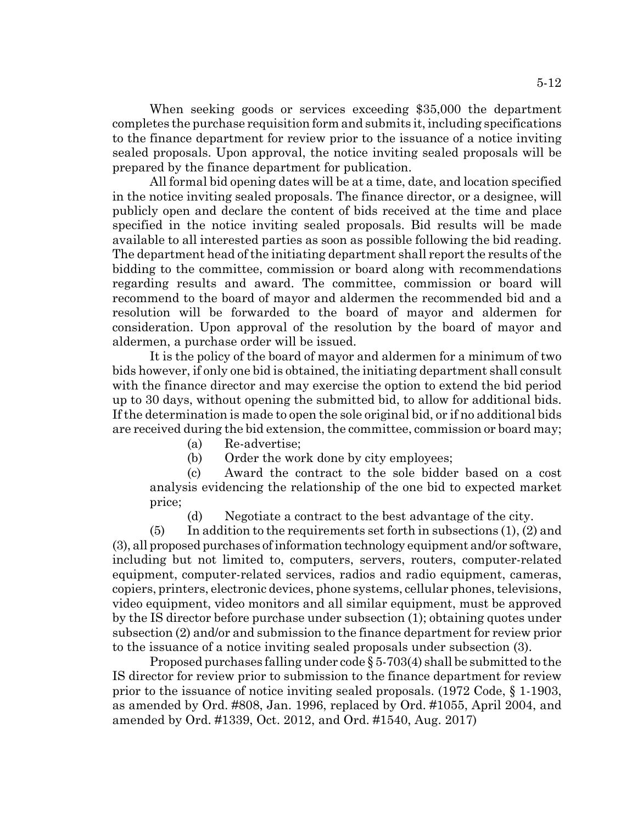When seeking goods or services exceeding \$35,000 the department completes the purchase requisition form and submits it, including specifications to the finance department for review prior to the issuance of a notice inviting sealed proposals. Upon approval, the notice inviting sealed proposals will be prepared by the finance department for publication.

All formal bid opening dates will be at a time, date, and location specified in the notice inviting sealed proposals. The finance director, or a designee, will publicly open and declare the content of bids received at the time and place specified in the notice inviting sealed proposals. Bid results will be made available to all interested parties as soon as possible following the bid reading. The department head of the initiating department shall report the results of the bidding to the committee, commission or board along with recommendations regarding results and award. The committee, commission or board will recommend to the board of mayor and aldermen the recommended bid and a resolution will be forwarded to the board of mayor and aldermen for consideration. Upon approval of the resolution by the board of mayor and aldermen, a purchase order will be issued.

It is the policy of the board of mayor and aldermen for a minimum of two bids however, if only one bid is obtained, the initiating department shall consult with the finance director and may exercise the option to extend the bid period up to 30 days, without opening the submitted bid, to allow for additional bids. If the determination is made to open the sole original bid, or if no additional bids are received during the bid extension, the committee, commission or board may;

- (a) Re-advertise;
- (b) Order the work done by city employees;

(c) Award the contract to the sole bidder based on a cost analysis evidencing the relationship of the one bid to expected market price;

(d) Negotiate a contract to the best advantage of the city.

 $(5)$  In addition to the requirements set forth in subsections  $(1)$ ,  $(2)$  and (3), all proposed purchases of information technology equipment and/or software, including but not limited to, computers, servers, routers, computer-related equipment, computer-related services, radios and radio equipment, cameras, copiers, printers, electronic devices, phone systems, cellular phones, televisions, video equipment, video monitors and all similar equipment, must be approved by the IS director before purchase under subsection (1); obtaining quotes under subsection (2) and/or and submission to the finance department for review prior to the issuance of a notice inviting sealed proposals under subsection (3).

Proposed purchases falling under code  $\S 5$ -703(4) shall be submitted to the IS director for review prior to submission to the finance department for review prior to the issuance of notice inviting sealed proposals. (1972 Code, § 1-1903, as amended by Ord. #808, Jan. 1996, replaced by Ord. #1055, April 2004, and amended by Ord. #1339, Oct. 2012, and Ord. #1540, Aug. 2017)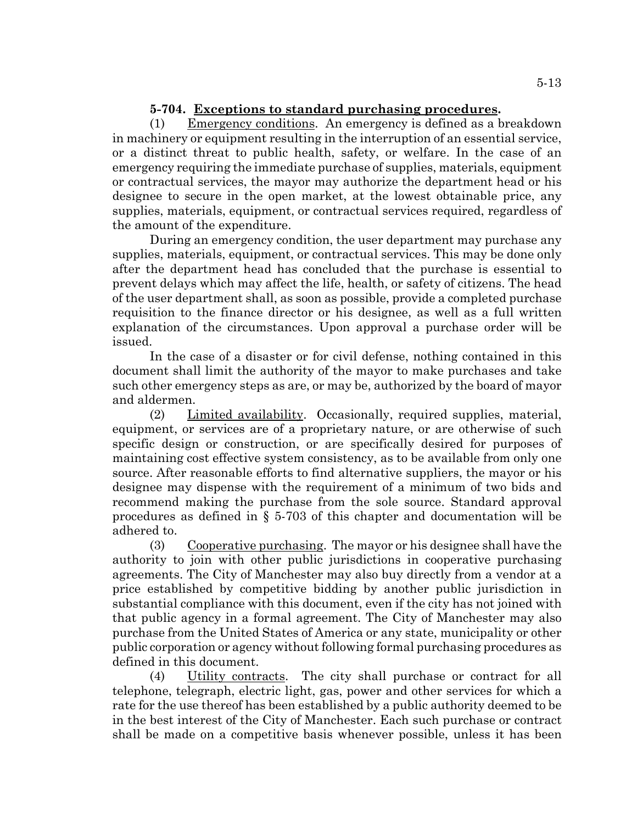# **5-704. Exceptions to standard purchasing procedures.**

(1) Emergency conditions. An emergency is defined as a breakdown in machinery or equipment resulting in the interruption of an essential service, or a distinct threat to public health, safety, or welfare. In the case of an emergency requiring the immediate purchase of supplies, materials, equipment or contractual services, the mayor may authorize the department head or his designee to secure in the open market, at the lowest obtainable price, any supplies, materials, equipment, or contractual services required, regardless of the amount of the expenditure.

During an emergency condition, the user department may purchase any supplies, materials, equipment, or contractual services. This may be done only after the department head has concluded that the purchase is essential to prevent delays which may affect the life, health, or safety of citizens. The head of the user department shall, as soon as possible, provide a completed purchase requisition to the finance director or his designee, as well as a full written explanation of the circumstances. Upon approval a purchase order will be issued.

In the case of a disaster or for civil defense, nothing contained in this document shall limit the authority of the mayor to make purchases and take such other emergency steps as are, or may be, authorized by the board of mayor and aldermen.

(2) Limited availability. Occasionally, required supplies, material, equipment, or services are of a proprietary nature, or are otherwise of such specific design or construction, or are specifically desired for purposes of maintaining cost effective system consistency, as to be available from only one source. After reasonable efforts to find alternative suppliers, the mayor or his designee may dispense with the requirement of a minimum of two bids and recommend making the purchase from the sole source. Standard approval procedures as defined in § 5-703 of this chapter and documentation will be adhered to.

(3) Cooperative purchasing. The mayor or his designee shall have the authority to join with other public jurisdictions in cooperative purchasing agreements. The City of Manchester may also buy directly from a vendor at a price established by competitive bidding by another public jurisdiction in substantial compliance with this document, even if the city has not joined with that public agency in a formal agreement. The City of Manchester may also purchase from the United States of America or any state, municipality or other public corporation or agency without following formal purchasing procedures as defined in this document.

(4) Utility contracts. The city shall purchase or contract for all telephone, telegraph, electric light, gas, power and other services for which a rate for the use thereof has been established by a public authority deemed to be in the best interest of the City of Manchester. Each such purchase or contract shall be made on a competitive basis whenever possible, unless it has been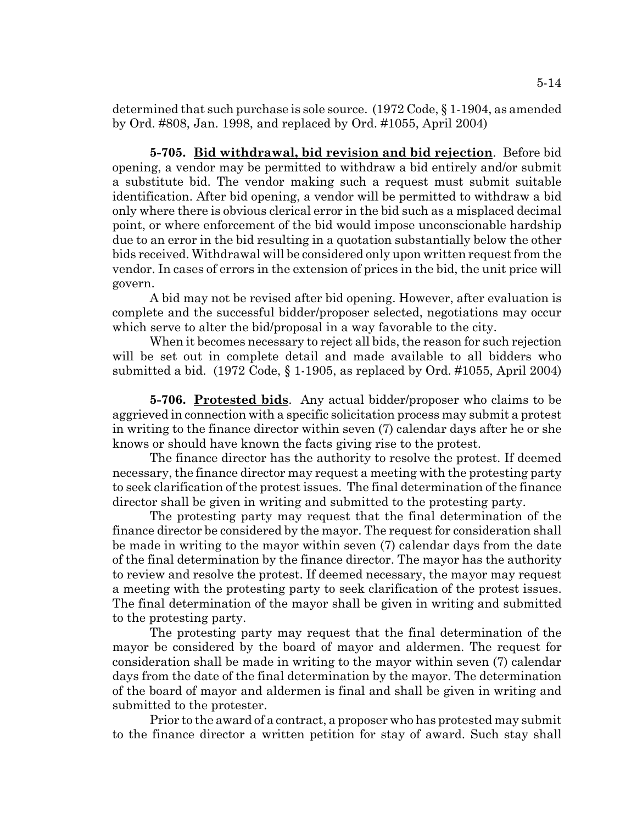determined that such purchase is sole source. (1972 Code, § 1-1904, as amended by Ord. #808, Jan. 1998, and replaced by Ord. #1055, April 2004)

**5-705. Bid withdrawal, bid revision and bid rejection**. Before bid opening, a vendor may be permitted to withdraw a bid entirely and/or submit a substitute bid. The vendor making such a request must submit suitable identification. After bid opening, a vendor will be permitted to withdraw a bid only where there is obvious clerical error in the bid such as a misplaced decimal point, or where enforcement of the bid would impose unconscionable hardship due to an error in the bid resulting in a quotation substantially below the other bids received. Withdrawal will be considered only upon written request from the vendor. In cases of errors in the extension of prices in the bid, the unit price will govern.

A bid may not be revised after bid opening. However, after evaluation is complete and the successful bidder/proposer selected, negotiations may occur which serve to alter the bid/proposal in a way favorable to the city.

When it becomes necessary to reject all bids, the reason for such rejection will be set out in complete detail and made available to all bidders who submitted a bid. (1972 Code, § 1-1905, as replaced by Ord. #1055, April 2004)

**5-706. Protested bids**. Any actual bidder/proposer who claims to be aggrieved in connection with a specific solicitation process may submit a protest in writing to the finance director within seven (7) calendar days after he or she knows or should have known the facts giving rise to the protest.

The finance director has the authority to resolve the protest. If deemed necessary, the finance director may request a meeting with the protesting party to seek clarification of the protest issues. The final determination of the finance director shall be given in writing and submitted to the protesting party.

The protesting party may request that the final determination of the finance director be considered by the mayor. The request for consideration shall be made in writing to the mayor within seven (7) calendar days from the date of the final determination by the finance director. The mayor has the authority to review and resolve the protest. If deemed necessary, the mayor may request a meeting with the protesting party to seek clarification of the protest issues. The final determination of the mayor shall be given in writing and submitted to the protesting party.

The protesting party may request that the final determination of the mayor be considered by the board of mayor and aldermen. The request for consideration shall be made in writing to the mayor within seven (7) calendar days from the date of the final determination by the mayor. The determination of the board of mayor and aldermen is final and shall be given in writing and submitted to the protester.

Prior to the award of a contract, a proposer who has protested may submit to the finance director a written petition for stay of award. Such stay shall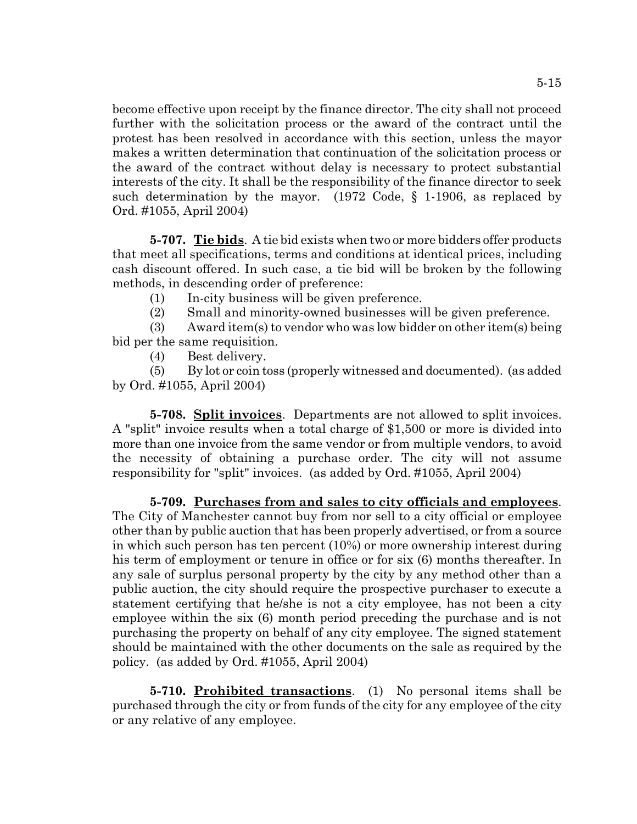become effective upon receipt by the finance director. The city shall not proceed further with the solicitation process or the award of the contract until the protest has been resolved in accordance with this section, unless the mayor makes a written determination that continuation of the solicitation process or the award of the contract without delay is necessary to protect substantial interests of the city. It shall be the responsibility of the finance director to seek such determination by the mayor. (1972 Code, § 1-1906, as replaced by Ord. #1055, April 2004)

**5-707. Tie bids**. A tie bid exists when two or more bidders offer products that meet all specifications, terms and conditions at identical prices, including cash discount offered. In such case, a tie bid will be broken by the following methods, in descending order of preference:

(1) In-city business will be given preference.

(2) Small and minority-owned businesses will be given preference.

(3) Award item(s) to vendor who was low bidder on other item(s) being bid per the same requisition.

(4) Best delivery.

(5) By lot or coin toss (properly witnessed and documented). (as added by Ord. #1055, April 2004)

**5-708. Split invoices**. Departments are not allowed to split invoices. A "split" invoice results when a total charge of \$1,500 or more is divided into more than one invoice from the same vendor or from multiple vendors, to avoid the necessity of obtaining a purchase order. The city will not assume responsibility for "split" invoices. (as added by Ord. #1055, April 2004)

**5-709. Purchases from and sales to city officials and employees**. The City of Manchester cannot buy from nor sell to a city official or employee other than by public auction that has been properly advertised, or from a source in which such person has ten percent (10%) or more ownership interest during his term of employment or tenure in office or for six (6) months thereafter. In any sale of surplus personal property by the city by any method other than a public auction, the city should require the prospective purchaser to execute a statement certifying that he/she is not a city employee, has not been a city employee within the six (6) month period preceding the purchase and is not purchasing the property on behalf of any city employee. The signed statement should be maintained with the other documents on the sale as required by the policy. (as added by Ord. #1055, April 2004)

**5-710. Prohibited transactions**. (1) No personal items shall be purchased through the city or from funds of the city for any employee of the city or any relative of any employee.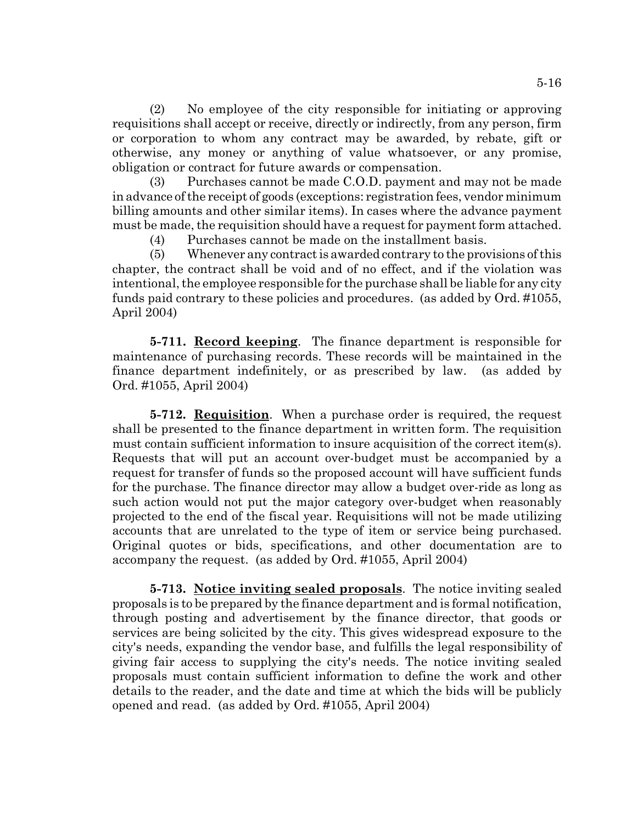(2) No employee of the city responsible for initiating or approving requisitions shall accept or receive, directly or indirectly, from any person, firm or corporation to whom any contract may be awarded, by rebate, gift or otherwise, any money or anything of value whatsoever, or any promise, obligation or contract for future awards or compensation.

(3) Purchases cannot be made C.O.D. payment and may not be made in advance of the receipt of goods (exceptions: registration fees, vendor minimum billing amounts and other similar items). In cases where the advance payment must be made, the requisition should have a request for payment form attached.

(4) Purchases cannot be made on the installment basis.

(5) Whenever any contract is awarded contrary to the provisions of this chapter, the contract shall be void and of no effect, and if the violation was intentional, the employee responsible for the purchase shall be liable for any city funds paid contrary to these policies and procedures. (as added by Ord. #1055, April 2004)

**5-711. Record keeping**. The finance department is responsible for maintenance of purchasing records. These records will be maintained in the finance department indefinitely, or as prescribed by law. (as added by Ord. #1055, April 2004)

**5-712. Requisition**. When a purchase order is required, the request shall be presented to the finance department in written form. The requisition must contain sufficient information to insure acquisition of the correct item(s). Requests that will put an account over-budget must be accompanied by a request for transfer of funds so the proposed account will have sufficient funds for the purchase. The finance director may allow a budget over-ride as long as such action would not put the major category over-budget when reasonably projected to the end of the fiscal year. Requisitions will not be made utilizing accounts that are unrelated to the type of item or service being purchased. Original quotes or bids, specifications, and other documentation are to accompany the request. (as added by Ord. #1055, April 2004)

**5-713. Notice inviting sealed proposals**. The notice inviting sealed proposals is to be prepared by the finance department and is formal notification, through posting and advertisement by the finance director, that goods or services are being solicited by the city. This gives widespread exposure to the city's needs, expanding the vendor base, and fulfills the legal responsibility of giving fair access to supplying the city's needs. The notice inviting sealed proposals must contain sufficient information to define the work and other details to the reader, and the date and time at which the bids will be publicly opened and read. (as added by Ord. #1055, April 2004)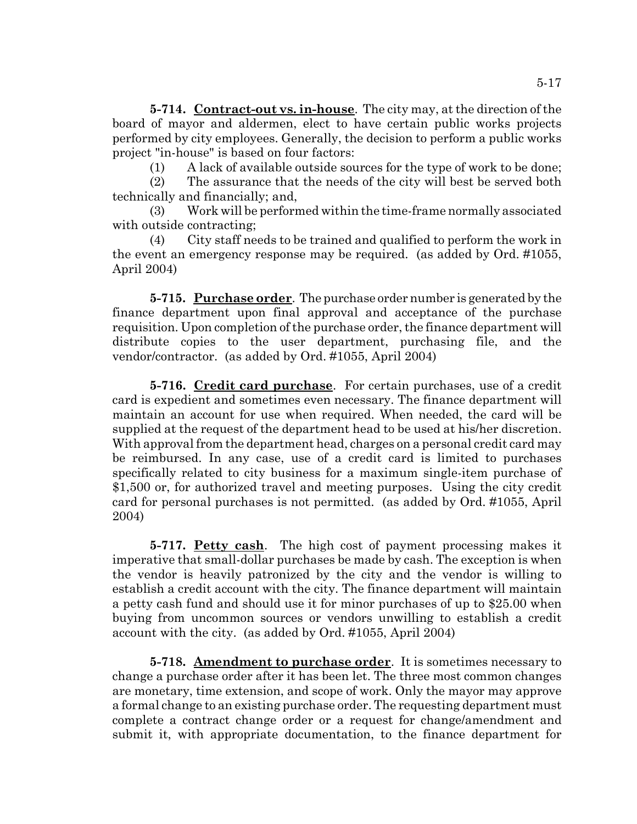**5-714. Contract-out vs. in-house**. The city may, at the direction of the board of mayor and aldermen, elect to have certain public works projects performed by city employees. Generally, the decision to perform a public works project "in-house" is based on four factors:

(1) A lack of available outside sources for the type of work to be done;

(2) The assurance that the needs of the city will best be served both technically and financially; and,

(3) Work will be performed within the time-frame normally associated with outside contracting;

(4) City staff needs to be trained and qualified to perform the work in the event an emergency response may be required. (as added by Ord. #1055, April 2004)

**5-715. Purchase order**. The purchase order number is generated by the finance department upon final approval and acceptance of the purchase requisition. Upon completion of the purchase order, the finance department will distribute copies to the user department, purchasing file, and the vendor/contractor. (as added by Ord. #1055, April 2004)

**5-716. Credit card purchase**. For certain purchases, use of a credit card is expedient and sometimes even necessary. The finance department will maintain an account for use when required. When needed, the card will be supplied at the request of the department head to be used at his/her discretion. With approval from the department head, charges on a personal credit card may be reimbursed. In any case, use of a credit card is limited to purchases specifically related to city business for a maximum single-item purchase of \$1,500 or, for authorized travel and meeting purposes. Using the city credit card for personal purchases is not permitted. (as added by Ord. #1055, April 2004)

**5-717. Petty cash**. The high cost of payment processing makes it imperative that small-dollar purchases be made by cash. The exception is when the vendor is heavily patronized by the city and the vendor is willing to establish a credit account with the city. The finance department will maintain a petty cash fund and should use it for minor purchases of up to \$25.00 when buying from uncommon sources or vendors unwilling to establish a credit account with the city. (as added by Ord. #1055, April 2004)

**5-718. Amendment to purchase order**. It is sometimes necessary to change a purchase order after it has been let. The three most common changes are monetary, time extension, and scope of work. Only the mayor may approve a formal change to an existing purchase order. The requesting department must complete a contract change order or a request for change/amendment and submit it, with appropriate documentation, to the finance department for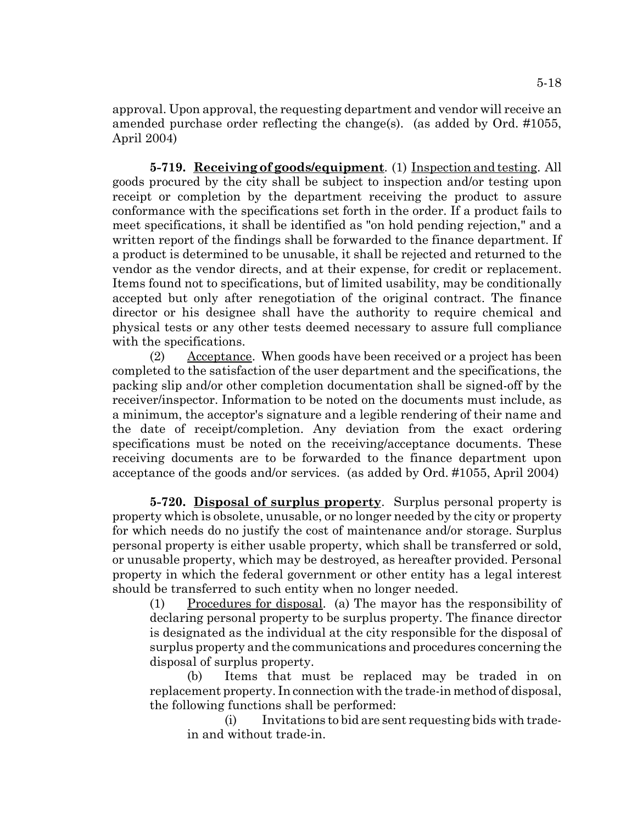approval. Upon approval, the requesting department and vendor will receive an amended purchase order reflecting the change(s). (as added by Ord. #1055, April 2004)

**5-719. Receiving of goods/equipment**. (1) Inspection and testing. All goods procured by the city shall be subject to inspection and/or testing upon receipt or completion by the department receiving the product to assure conformance with the specifications set forth in the order. If a product fails to meet specifications, it shall be identified as "on hold pending rejection," and a written report of the findings shall be forwarded to the finance department. If a product is determined to be unusable, it shall be rejected and returned to the vendor as the vendor directs, and at their expense, for credit or replacement. Items found not to specifications, but of limited usability, may be conditionally accepted but only after renegotiation of the original contract. The finance director or his designee shall have the authority to require chemical and physical tests or any other tests deemed necessary to assure full compliance with the specifications.

(2) Acceptance. When goods have been received or a project has been completed to the satisfaction of the user department and the specifications, the packing slip and/or other completion documentation shall be signed-off by the receiver/inspector. Information to be noted on the documents must include, as a minimum, the acceptor's signature and a legible rendering of their name and the date of receipt/completion. Any deviation from the exact ordering specifications must be noted on the receiving/acceptance documents. These receiving documents are to be forwarded to the finance department upon acceptance of the goods and/or services. (as added by Ord. #1055, April 2004)

**5-720. Disposal of surplus property**. Surplus personal property is property which is obsolete, unusable, or no longer needed by the city or property for which needs do no justify the cost of maintenance and/or storage. Surplus personal property is either usable property, which shall be transferred or sold, or unusable property, which may be destroyed, as hereafter provided. Personal property in which the federal government or other entity has a legal interest should be transferred to such entity when no longer needed.

(1) Procedures for disposal. (a) The mayor has the responsibility of declaring personal property to be surplus property. The finance director is designated as the individual at the city responsible for the disposal of surplus property and the communications and procedures concerning the disposal of surplus property.

(b) Items that must be replaced may be traded in on replacement property. In connection with the trade-in method of disposal, the following functions shall be performed:

(i) Invitations to bid are sent requesting bids with tradein and without trade-in.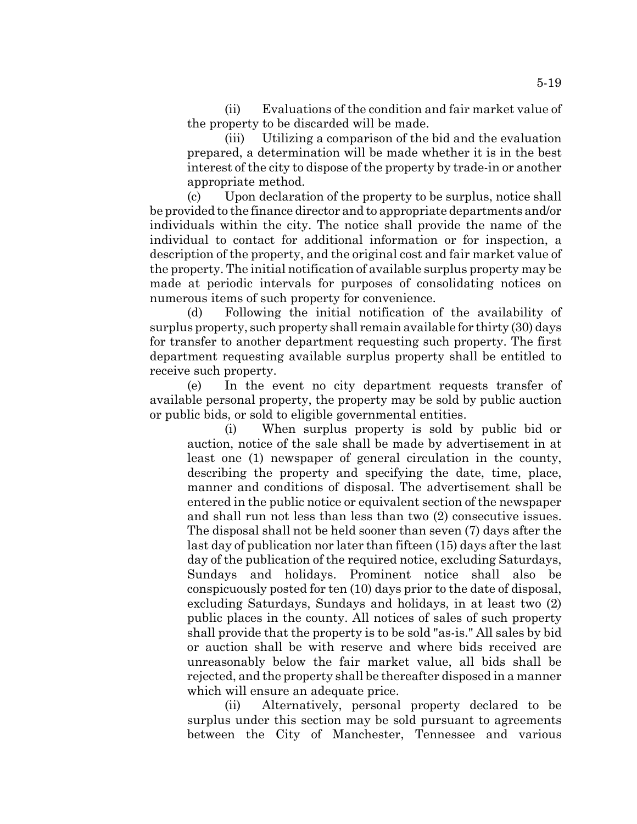(ii) Evaluations of the condition and fair market value of the property to be discarded will be made.

(iii) Utilizing a comparison of the bid and the evaluation prepared, a determination will be made whether it is in the best interest of the city to dispose of the property by trade-in or another appropriate method.

(c) Upon declaration of the property to be surplus, notice shall be provided to the finance director and to appropriate departments and/or individuals within the city. The notice shall provide the name of the individual to contact for additional information or for inspection, a description of the property, and the original cost and fair market value of the property. The initial notification of available surplus property may be made at periodic intervals for purposes of consolidating notices on numerous items of such property for convenience.

(d) Following the initial notification of the availability of surplus property, such property shall remain available for thirty (30) days for transfer to another department requesting such property. The first department requesting available surplus property shall be entitled to receive such property.

(e) In the event no city department requests transfer of available personal property, the property may be sold by public auction or public bids, or sold to eligible governmental entities.

(i) When surplus property is sold by public bid or auction, notice of the sale shall be made by advertisement in at least one (1) newspaper of general circulation in the county, describing the property and specifying the date, time, place, manner and conditions of disposal. The advertisement shall be entered in the public notice or equivalent section of the newspaper and shall run not less than less than two (2) consecutive issues. The disposal shall not be held sooner than seven (7) days after the last day of publication nor later than fifteen (15) days after the last day of the publication of the required notice, excluding Saturdays, Sundays and holidays. Prominent notice shall also be conspicuously posted for ten (10) days prior to the date of disposal, excluding Saturdays, Sundays and holidays, in at least two (2) public places in the county. All notices of sales of such property shall provide that the property is to be sold "as-is." All sales by bid or auction shall be with reserve and where bids received are unreasonably below the fair market value, all bids shall be rejected, and the property shall be thereafter disposed in a manner which will ensure an adequate price.

(ii) Alternatively, personal property declared to be surplus under this section may be sold pursuant to agreements between the City of Manchester, Tennessee and various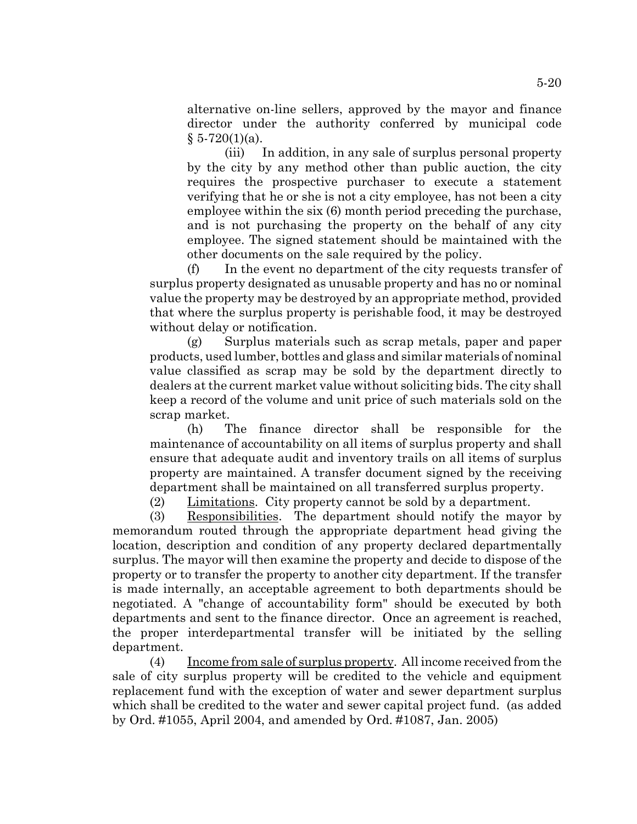alternative on-line sellers, approved by the mayor and finance director under the authority conferred by municipal code  $§ 5-720(1)(a)$ .

(iii) In addition, in any sale of surplus personal property by the city by any method other than public auction, the city requires the prospective purchaser to execute a statement verifying that he or she is not a city employee, has not been a city employee within the six (6) month period preceding the purchase, and is not purchasing the property on the behalf of any city employee. The signed statement should be maintained with the other documents on the sale required by the policy.

(f) In the event no department of the city requests transfer of surplus property designated as unusable property and has no or nominal value the property may be destroyed by an appropriate method, provided that where the surplus property is perishable food, it may be destroyed without delay or notification.

(g) Surplus materials such as scrap metals, paper and paper products, used lumber, bottles and glass and similar materials of nominal value classified as scrap may be sold by the department directly to dealers at the current market value without soliciting bids. The city shall keep a record of the volume and unit price of such materials sold on the scrap market.

(h) The finance director shall be responsible for the maintenance of accountability on all items of surplus property and shall ensure that adequate audit and inventory trails on all items of surplus property are maintained. A transfer document signed by the receiving department shall be maintained on all transferred surplus property.

(2) Limitations. City property cannot be sold by a department.

(3) Responsibilities. The department should notify the mayor by memorandum routed through the appropriate department head giving the location, description and condition of any property declared departmentally surplus. The mayor will then examine the property and decide to dispose of the property or to transfer the property to another city department. If the transfer is made internally, an acceptable agreement to both departments should be negotiated. A "change of accountability form" should be executed by both departments and sent to the finance director. Once an agreement is reached, the proper interdepartmental transfer will be initiated by the selling department.

(4) Income from sale of surplus property. All income received from the sale of city surplus property will be credited to the vehicle and equipment replacement fund with the exception of water and sewer department surplus which shall be credited to the water and sewer capital project fund. (as added by Ord. #1055, April 2004, and amended by Ord. #1087, Jan. 2005)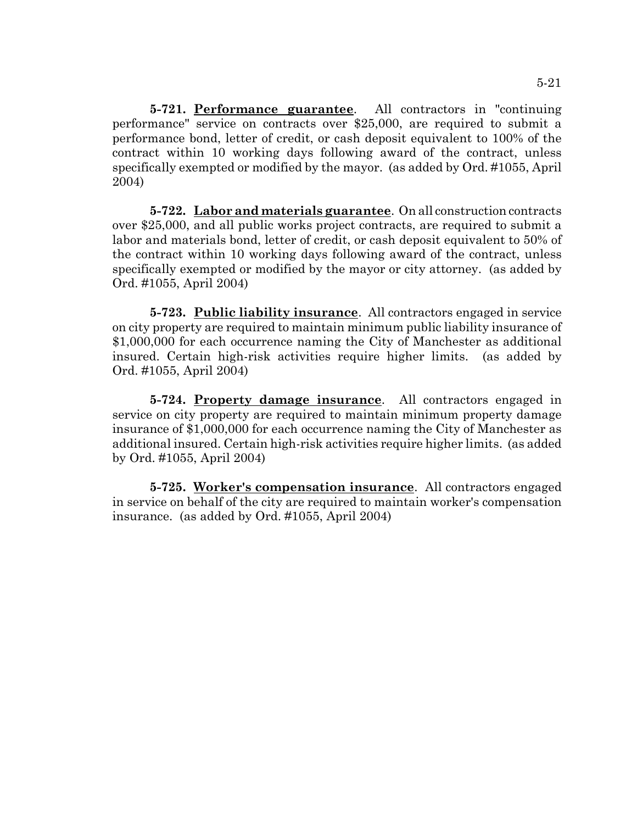**5-721. Performance guarantee**. All contractors in "continuing performance" service on contracts over \$25,000, are required to submit a performance bond, letter of credit, or cash deposit equivalent to 100% of the contract within 10 working days following award of the contract, unless specifically exempted or modified by the mayor. (as added by Ord. #1055, April 2004)

**5-722. Labor and materials guarantee**. On all construction contracts over \$25,000, and all public works project contracts, are required to submit a labor and materials bond, letter of credit, or cash deposit equivalent to 50% of the contract within 10 working days following award of the contract, unless specifically exempted or modified by the mayor or city attorney. (as added by Ord. #1055, April 2004)

**5-723. Public liability insurance**. All contractors engaged in service on city property are required to maintain minimum public liability insurance of \$1,000,000 for each occurrence naming the City of Manchester as additional insured. Certain high-risk activities require higher limits. (as added by Ord. #1055, April 2004)

**5-724. Property damage insurance**. All contractors engaged in service on city property are required to maintain minimum property damage insurance of \$1,000,000 for each occurrence naming the City of Manchester as additional insured. Certain high-risk activities require higher limits. (as added by Ord. #1055, April 2004)

**5-725. Worker's compensation insurance**. All contractors engaged in service on behalf of the city are required to maintain worker's compensation insurance. (as added by Ord. #1055, April 2004)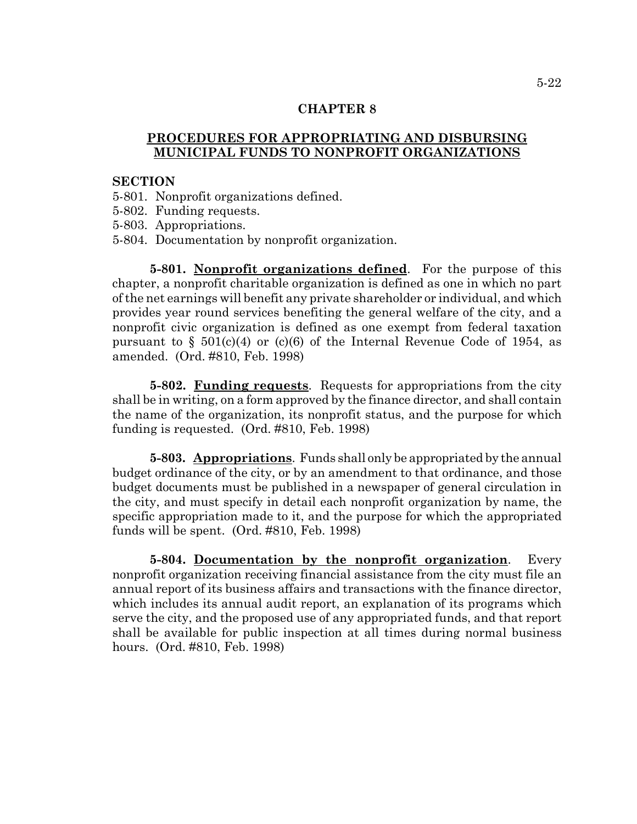## **PROCEDURES FOR APPROPRIATING AND DISBURSING MUNICIPAL FUNDS TO NONPROFIT ORGANIZATIONS**

#### **SECTION**

- 5-801. Nonprofit organizations defined.
- 5-802. Funding requests.
- 5-803. Appropriations.
- 5-804. Documentation by nonprofit organization.

**5-801. Nonprofit organizations defined**. For the purpose of this chapter, a nonprofit charitable organization is defined as one in which no part of the net earnings will benefit any private shareholder or individual, and which provides year round services benefiting the general welfare of the city, and a nonprofit civic organization is defined as one exempt from federal taxation pursuant to  $\S$  501(c)(4) or (c)(6) of the Internal Revenue Code of 1954, as amended. (Ord. #810, Feb. 1998)

**5-802. Funding requests**. Requests for appropriations from the city shall be in writing, on a form approved by the finance director, and shall contain the name of the organization, its nonprofit status, and the purpose for which funding is requested. (Ord. #810, Feb. 1998)

**5-803. Appropriations**. Funds shall only be appropriated by the annual budget ordinance of the city, or by an amendment to that ordinance, and those budget documents must be published in a newspaper of general circulation in the city, and must specify in detail each nonprofit organization by name, the specific appropriation made to it, and the purpose for which the appropriated funds will be spent. (Ord. #810, Feb. 1998)

**5-804. Documentation by the nonprofit organization**. Every nonprofit organization receiving financial assistance from the city must file an annual report of its business affairs and transactions with the finance director, which includes its annual audit report, an explanation of its programs which serve the city, and the proposed use of any appropriated funds, and that report shall be available for public inspection at all times during normal business hours. (Ord. #810, Feb. 1998)